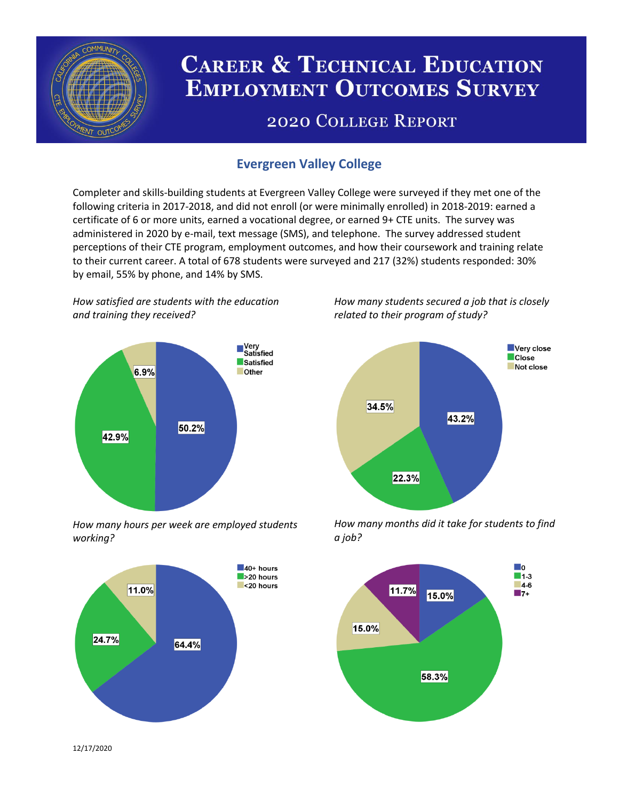

# **CAREER & TECHNICAL EDUCATION EMPLOYMENT OUTCOMES SURVEY**

## **2020 COLLEGE REPORT**

## **Evergreen Valley College**

Completer and skills-building students at Evergreen Valley College were surveyed if they met one of the following criteria in 2017-2018, and did not enroll (or were minimally enrolled) in 2018-2019: earned a certificate of 6 or more units, earned a vocational degree, or earned 9+ CTE units. The survey was administered in 2020 by e-mail, text message (SMS), and telephone. The survey addressed student perceptions of their CTE program, employment outcomes, and how their coursework and training relate to their current career. A total of 678 students were surveyed and 217 (32%) students responded: 30% by email, 55% by phone, and 14% by SMS.

*How satisfied are students with the education and training they received?*



*How many hours per week are employed students working?*



*How many students secured a job that is closely related to their program of study?*



*How many months did it take for students to find a job?*



12/17/2020